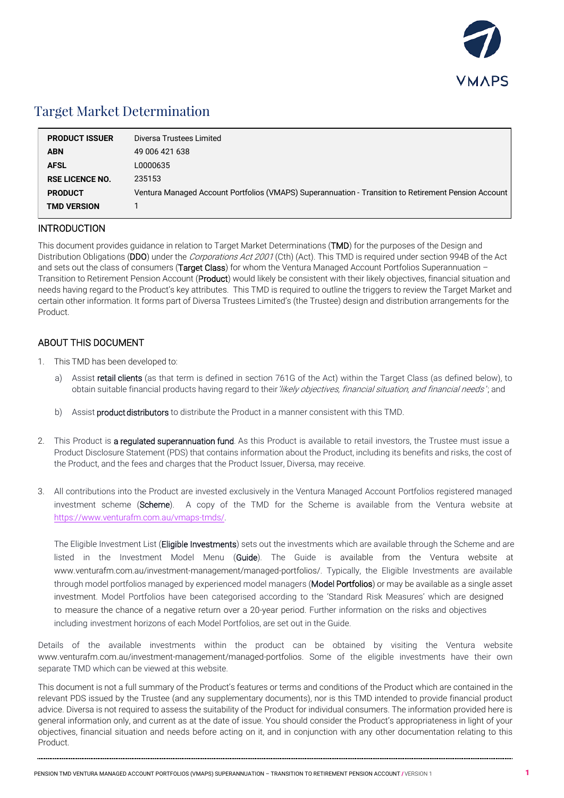

## Target Market Determination

| <b>PRODUCT ISSUER</b>  | Diversa Trustees Limited                                                                             |
|------------------------|------------------------------------------------------------------------------------------------------|
| <b>ABN</b>             | 49 006 421 638                                                                                       |
| <b>AFSL</b>            | L0000635                                                                                             |
| <b>RSE LICENCE NO.</b> | 235153                                                                                               |
| <b>PRODUCT</b>         | Ventura Managed Account Portfolios (VMAPS) Superannuation - Transition to Retirement Pension Account |
| <b>TMD VERSION</b>     |                                                                                                      |

#### INTRODUCTION

This document provides guidance in relation to Target Market Determinations (TMD) for the purposes of the Design and Distribution Obligations (DDO) under the *Corporations Act 2001* (Cth) (Act). This TMD is required under section 994B of the Act and sets out the class of consumers (Target Class) for whom the Ventura Managed Account Portfolios Superannuation -Transition to Retirement Pension Account (Product) would likely be consistent with their likely objectives, financial situation and needs having regard to the Product's key attributes. This TMD is required to outline the triggers to review the Target Market and certain other information. It forms part of Diversa Trustees Limited's (the Trustee) design and distribution arrangements for the Product.

### ABOUT THIS DOCUMENT

- 1. This TMD has been developed to:
	- a) Assist retail clients (as that term is defined in section 761G of the Act) within the Target Class (as defined below), to obtain suitable financial products having regard to their likely objectives, financial situation, and financial needs'; and
	- b) Assist **product distributors** to distribute the Product in a manner consistent with this TMD.
- 2. This Product is a regulated superannuation fund. As this Product is available to retail investors, the Trustee must issue a Product Disclosure Statement (PDS) that contains information about the Product, including its benefits and risks, the cost of the Product, and the fees and charges that the Product Issuer, Diversa, may receive.
- 3. All contributions into the Product are invested exclusively in the Ventura Managed Account Portfolios registered managed investment scheme (Scheme). A copy of the TMD for the Scheme is available from the Ventura website at <https://www.venturafm.com.au/vmaps-tmds/>.

The Eligible Investment List (Eligible Investments) sets out the investments which are available through the Scheme and are listed in the Investment Model Menu (Guide). The Guide is available from the Ventura website at www.venturafm.com.au/investment-management/managed-portfolios/. Typically, the Eligible Investments are available through model portfolios managed by experienced model managers (Model Portfolios) or may be available as a single asset investment. Model Portfolios have been categorised according to the 'Standard Risk Measures' which are designed to measure the chance of a negative return over a 20-year period. Further information on the risks and objectives including investment horizons of each Model Portfolios, are set out in the Guide.

Details of the available investments within the product can be obtained by visiting the Ventura website www.venturafm.com.au/investment-management/managed-portfolios. Some of the eligible investments have their own separate TMD which can be viewed at this website.

This document is not a full summary of the Product's features or terms and conditions of the Product which are contained in the relevant PDS issued by the Trustee (and any supplementary documents), nor is this TMD intended to provide financial product advice. Diversa is not required to assess the suitability of the Product for individual consumers. The information provided here is general information only, and current as at the date of issue. You should consider the Product's appropriateness in light of your objectives, financial situation and needs before acting on it, and in conjunction with any other documentation relating to this Product.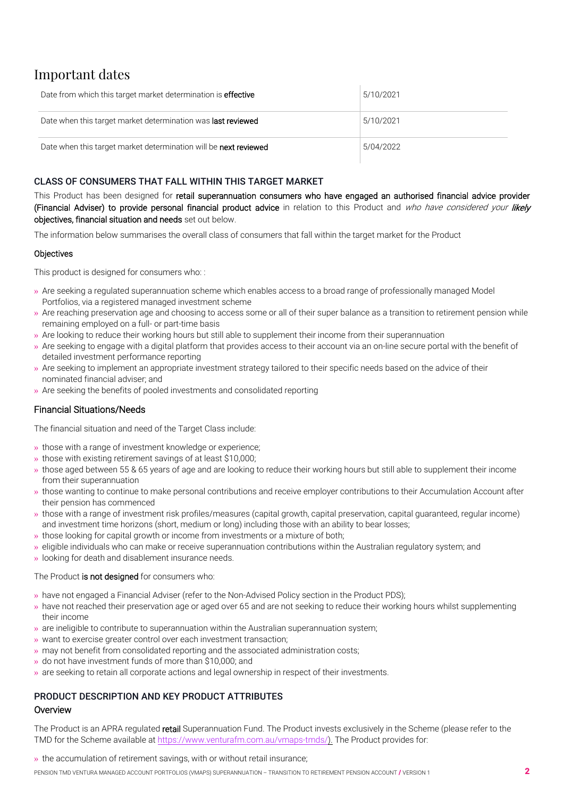# Important dates

| Date from which this target market determination is <b>effective</b> | 5/10/2021 |
|----------------------------------------------------------------------|-----------|
| Date when this target market determination was <b>last reviewed</b>  | 5/10/2021 |
| Date when this target market determination will be next reviewed     | 5/04/2022 |

### CLASS OF CONSUMERS THAT FALL WITHIN THIS TARGET MARKET

This Product has been designed for retail superannuation consumers who have engaged an authorised financial advice provider (Financial Adviser) to provide personal financial product advice in relation to this Product and who have considered your likely objectives, financial situation and needs set out below.

The information below summarises the overall class of consumers that fall within the target market for the Product

#### **Objectives**

This product is designed for consumers who: :

- » Are seeking a regulated superannuation scheme which enables access to a broad range of professionally managed Model Portfolios, via a registered managed investment scheme
- » Are reaching preservation age and choosing to access some or all of their super balance as a transition to retirement pension while remaining employed on a full- or part-time basis
- » Are looking to reduce their working hours but still able to supplement their income from their superannuation
- » Are seeking to engage with a digital platform that provides access to their account via an on-line secure portal with the benefit of detailed investment performance reporting
- » Are seeking to implement an appropriate investment strategy tailored to their specific needs based on the advice of their nominated financial adviser; and
- » Are seeking the benefits of pooled investments and consolidated reporting

### Financial Situations/Needs

The financial situation and need of the Target Class include:

- » those with a range of investment knowledge or experience;
- » those with existing retirement savings of at least \$10,000;
- » those aged between 55 & 65 years of age and are looking to reduce their working hours but still able to supplement their income from their superannuation
- » those wanting to continue to make personal contributions and receive employer contributions to their Accumulation Account after their pension has commenced
- » those with a range of investment risk profiles/measures (capital growth, capital preservation, capital guaranteed, regular income) and investment time horizons (short, medium or long) including those with an ability to bear losses;
- » those looking for capital growth or income from investments or a mixture of both;
- » eligible individuals who can make or receive superannuation contributions within the Australian regulatory system; and
- » looking for death and disablement insurance needs.

#### The Product is not designed for consumers who:

- » have not engaged a Financial Adviser (refer to the Non-Advised Policy section in the Product PDS);
- » have not reached their preservation age or aged over 65 and are not seeking to reduce their working hours whilst supplementing their income
- $\rightarrow$  are ineligible to contribute to superannuation within the Australian superannuation system;
- » want to exercise greater control over each investment transaction;
- » may not benefit from consolidated reporting and the associated administration costs;
- » do not have investment funds of more than \$10,000; and
- » are seeking to retain all corporate actions and legal ownership in respect of their investments.

#### PRODUCT DESCRIPTION AND KEY PRODUCT ATTRIBUTES **Overview**

The Product is an APRA regulated retail Superannuation Fund. The Product invests exclusively in the Scheme (please refer to the TMD for the Scheme available at [https://www.venturafm.com.au/vmap](http://www.venturafm.com.au/investor-resources)[s-tmds/\)](https://www.venturafm.com.au/vmaps-tmds/). The Product provides for:

#### » the accumulation of retirement savings, with or without retail insurance;

PENSION TMD VENTURA MANAGED ACCOUNT PORTFOLIOS (VMAPS) SUPERANNUATION – TRANSITION TO RETIREMENT PENSION ACCOUNT / VERSION 1 2 2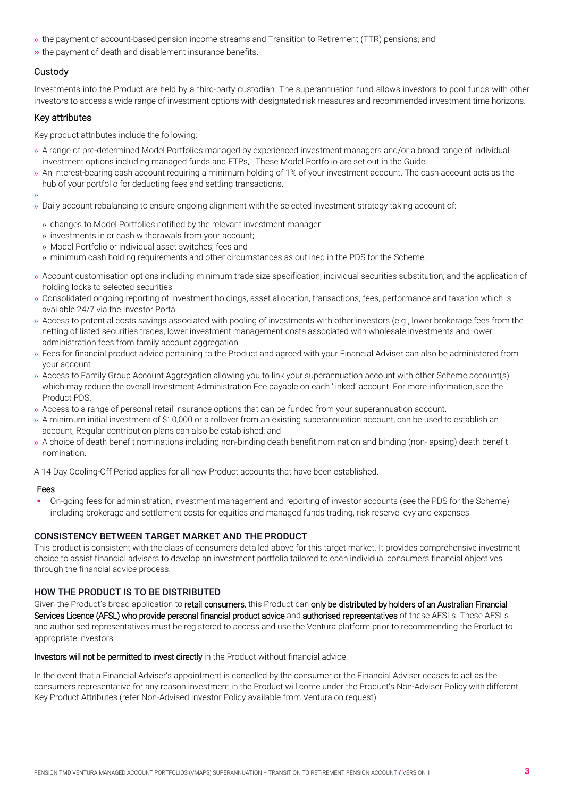- » the payment of account-based pension income streams and Transition to Retirement (TTR) pensions; and
- » the payment of death and disablement insurance benefits.

#### **Custody**

Investments into the Product are held by a third-party custodian. The superannuation fund allows investors to pool funds with other investors to access a wide range of investment options with designated risk measures and recommended investment time horizons.

#### Key attributes

Key product attributes include the following;

- » A range of pre-determined Model Portfolios managed by experienced investment managers and/or a broad range of individual investment options including managed funds and ETPs, . These Model Portfolio are set out in the Guide.
- » An interest-bearing cash account requiring a minimum holding of 1% of your investment account. The cash account acts as the hub of your portfolio for deducting fees and settling transactions.
- »
- » Daily account rebalancing to ensure ongoing alignment with the selected investment strategy taking account of:
	- » changes to Model Portfolios notified by the relevant investment manager
	- » investments in or cash withdrawals from your account;
	- » Model Portfolio or individual asset switches; fees and
	- » minimum cash holding requirements and other circumstances as outlined in the PDS for the Scheme.
- » Account customisation options including minimum trade size specification, individual securities substitution, and the application of holding locks to selected securities
- » Consolidated ongoing reporting of investment holdings, asset allocation, transactions, fees, performance and taxation which is available 24/7 via the Investor Portal
- » Access to potential costs savings associated with pooling of investments with other investors (e.g., lower brokerage fees from the netting of listed securities trades, lower investment management costs associated with wholesale investments and lower administration fees from family account aggregation
- » Fees for financial product advice pertaining to the Product and agreed with your Financial Adviser can also be administered from your account
- » Access to Family Group Account Aggregation allowing you to link your superannuation account with other Scheme account(s), which may reduce the overall Investment Administration Fee payable on each 'linked' account. For more information, see the Product PDS.
- » Access to a range of personal retail insurance options that can be funded from your superannuation account.
- » A minimum initial investment of \$10,000 or a rollover from an existing superannuation account, can be used to establish an account, Regular contribution plans can also be established; and
- » A choice of death benefit nominations including non-binding death benefit nomination and binding (non-lapsing) death benefit nomination.

A 14 Day Cooling-Off Period applies for all new Product accounts that have been established.

#### Fees

 On-going fees for administration, investment management and reporting of investor accounts (see the PDS for the Scheme) including brokerage and settlement costs for equities and managed funds trading, risk reserve levy and expenses

#### CONSISTENCY BETWEEN TARGET MARKET AND THE PRODUCT

This product is consistent with the class of consumers detailed above for this target market. It provides comprehensive investment choice to assist financial advisers to develop an investment portfolio tailored to each individual consumers financial objectives through the financial advice process.

#### HOW THE PRODUCT IS TO BE DISTRIBUTED

Given the Product's broad application to retail consumers, this Product can only be distributed by holders of an Australian Financial Services Licence (AFSL) who provide personal financial product advice and authorised representatives of these AFSLs. These AFSLs and authorised representatives must be registered to access and use the Ventura platform prior to recommending the Product to appropriate investors.

#### Investors will not be permitted to invest directly in the Product without financial advice.

In the event that a Financial Adviser's appointment is cancelled by the consumer or the Financial Adviser ceases to act as the consumers representative for any reason investment in the Product will come under the Product's Non-Adviser Policy with different Key Product Attributes (refer Non-Advised Investor Policy available from Ventura on request).